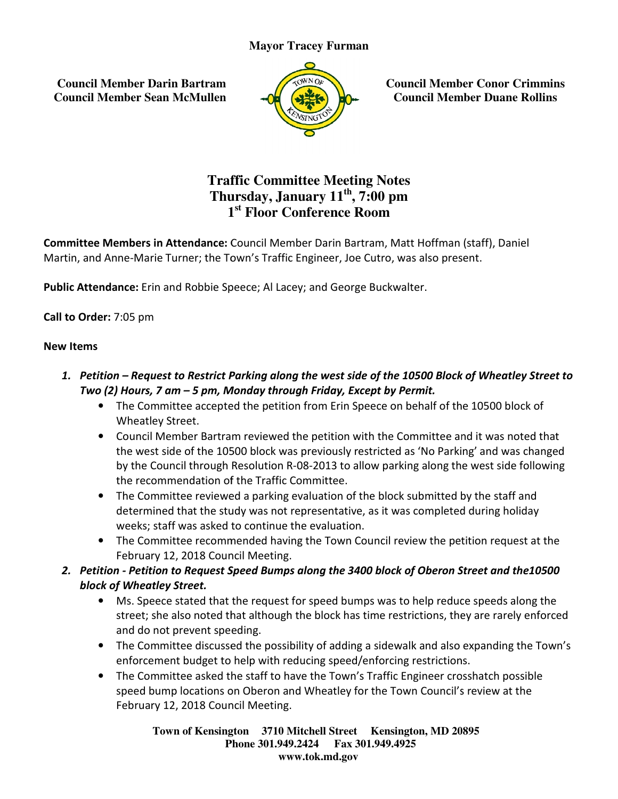**Council Member Darin Bartram Council Member Sean McMullen**



**Council Member Conor Crimmins Council Member Duane Rollins**

# **Traffic Committee Meeting Notes Thursday Thursday, January 11th, 7:00 pm 1 st Floor Conference Room**

Committee Members in Attendance: Council Member Darin Bartram, Matt Hoffman (staff), Daniel Martin, and Anne-Marie Turner; the Town's Traffic Engineer, Joe Cutro, was also present.<br>**Public Attendance:** Erin and Robbie Speece; Al Lacey; and George Buckwalter.

Public Attendance: Erin and Robbie Speece; Al Lacey; and George Buckwalter.

Call to Order: 7:05 pm

### New Items

- 1. Petition Request to Restrict Parking along the west side of the 10500 Block of Wheatley Street to Restrict Parking along the the 5 Monday by Permit. Two (2) Hours, 7 am  $-5$  pm, Monday through Friday, Except by Permit. ers in Attendance: Council Member Darin Bartram, Matt Hoffman (staff), Daniel<br>Marie Turner; the Town's Traffic Engineer, Joe Cutro, was also present.<br>
:: Erin and Robbie Speece; Al Lacey; and George Buckwalter.<br>
ipm<br>
pm<br>
R
	- The Committee accepted the petition from Erin Speece on behalf of the 10500 block of Wheatley Street.
- Council Member Bartram reviewed the petition with the Committee and the west side of the 10500 block was previously restricted as 'No Parking' and was changed by the Council through Resolution R-08-2013 to allow parking along the west side following the recommendation of the Traffic Committee. Mayor Tracey Furman<br>
rin Bartram<br>
In McMullen<br>
McMullen<br>
Traffic Committee Meeting<br>
Thursday, January 11<sup>th</sup>, 7:<br>
1<sup>st</sup> Floor Conference Ro<br>
Attendance: Council Member Darin Bartra<br>
Turner; the Town's Traffic Engineer, Joe **Council Member<br>
Council Member**<br> **Council Member**<br> **Council Member**<br> **Council Member**<br> **Council Member**<br> **Council Member**<br> **Council Member**<br> **Council Member**<br> **Council Berger Buckwalter.**<br> **Council Gouncil Council Council** 
	- The Committee reviewed a parking evaluation of the block submitted by the staff and determined that the study was not representative, as it was completed during holiday weeks; staff was asked to continue the evaluation. recommendation of the Traffic Committee.<br>Committee reviewed a parking evaluation of the block submitted by the staff and<br>ermined that the study was not representative, as it was completed during holiday<br>ks; staff was asked
	- The Committee recommended having the Town Council review the petition request at the February 12, 2018 Council Meeting. 12,
- 2. Petition Petition to Request Speed Bumps along the 3400 block of Oberon Street and the10500 block of Wheatley Street.
	- Ms. Speece stated that the request for speed bumps was to help reduce speeds along the Ms. Speece stated that the request for speed bumps was to help reduce speeds along the<br>street; she also noted that although the block has time restrictions, they are rarely enforced and do not prevent speeding.
	- The Committee discussed the possibility of adding a sidewalk and also expanding the Town's enforcement budget to help with reducing speed/enforcing restrictions s time restrictions, they are rarely enforced<br>g a sidewalk and also expanding the Town's<br>/enforcing restrictions.
	- The Committee asked the staff to have the Town's Traffic Engineer crosshatch possible speed bump locations on Oberon and Wheatley for the Town Council's review at the February 12, 2018 Council Meeting.

**Town of Kensington Kensington 3710 Mitchell Street Kensington, MD 20895 Phone 301.949.2424 301.949.2424 Fax 301.949.4925 www.tok.md.gov**